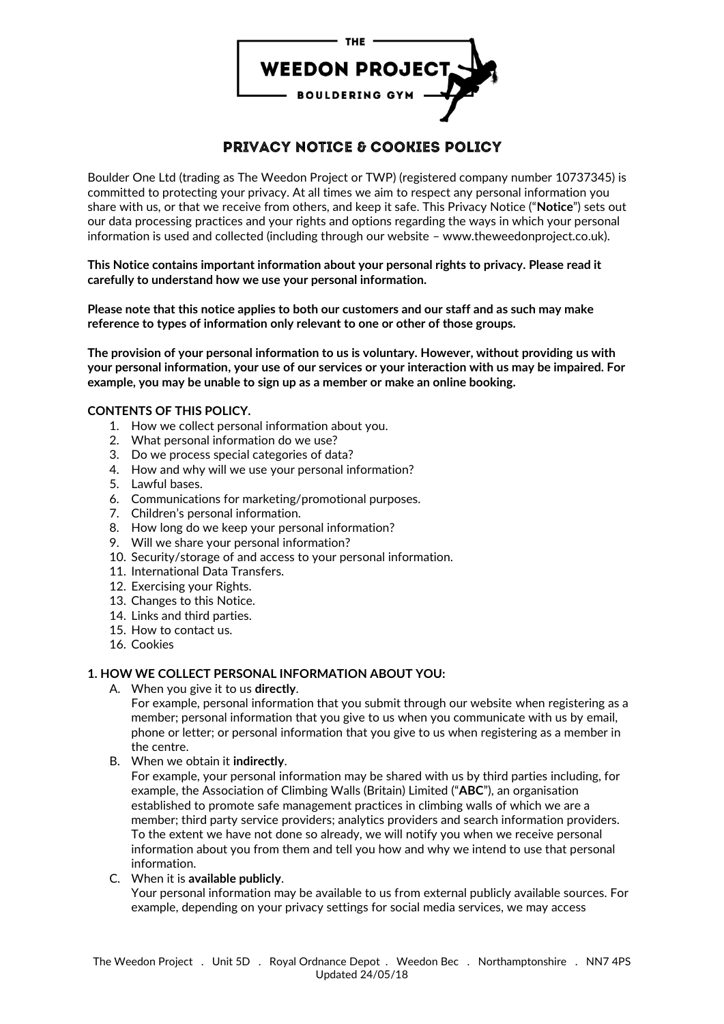

# **PRIVACY NOTICE & COOKIES POLICY**

Boulder One Ltd (trading as The Weedon Project or TWP) (registered company number 10737345) is committed to protecting your privacy. At all times we aim to respect any personal information you share with us, or that we receive from others, and keep it safe. This Privacy Notice ("**Notice**") sets out our data processing practices and your rights and options regarding the ways in which your personal information is used and collected (including through our website – www.theweedonproject.co.uk).

**This Notice contains important information about your personal rights to privacy. Please read it carefully to understand how we use your personal information.**

**Please note that this notice applies to both our customers and our staff and as such may make reference to types of information only relevant to one or other of those groups.**

**The provision of your personal information to us is voluntary. However, without providing us with your personal information, your use of our services or your interaction with us may be impaired. For example, you may be unable to sign up as a member or make an online booking.**

## **CONTENTS OF THIS POLICY.**

- 1. How we collect personal information about you.
- 2. What personal information do we use?
- 3. Do we process special categories of data?
- 4. How and why will we use your personal information?
- 5. Lawful bases.
- 6. Communications for marketing/promotional purposes.
- 7. Children's personal information.
- 8. How long do we keep your personal information?
- 9. Will we share your personal information?
- 10. Security/storage of and access to your personal information.
- 11. International Data Transfers.
- 12. Exercising your Rights.
- 13. Changes to this Notice.
- 14. Links and third parties.
- 15. How to contact us.
- 16. Cookies

## **1. HOW WE COLLECT PERSONAL INFORMATION ABOUT YOU:**

A. When you give it to us **directly**.

For example, personal information that you submit through our website when registering as a member; personal information that you give to us when you communicate with us by email, phone or letter; or personal information that you give to us when registering as a member in the centre.

B. When we obtain it **indirectly**.

For example, your personal information may be shared with us by third parties including, for example, the Association of Climbing Walls (Britain) Limited ("**ABC**"), an organisation established to promote safe management practices in climbing walls of which we are a member; third party service providers; analytics providers and search information providers. To the extent we have not done so already, we will notify you when we receive personal information about you from them and tell you how and why we intend to use that personal information.

C. When it is **available publicly**.

Your personal information may be available to us from external publicly available sources. For example, depending on your privacy settings for social media services, we may access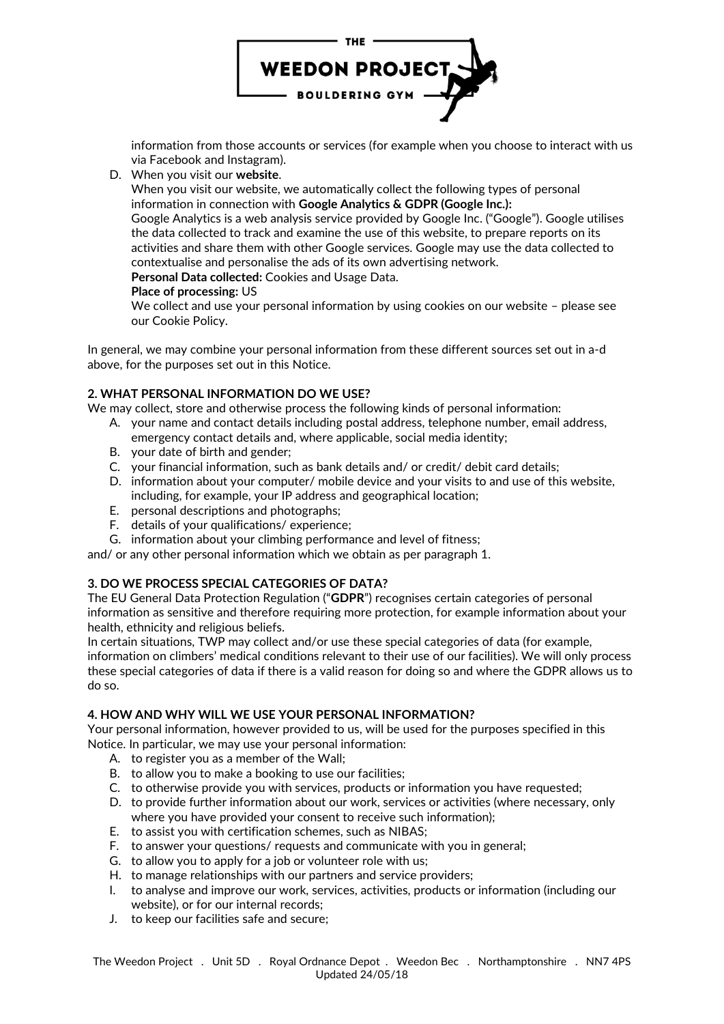

information from those accounts or services (for example when you choose to interact with us via Facebook and Instagram).

## D. When you visit our **website**.

When you visit our website, we automatically collect the following types of personal information in connection with **Google Analytics & GDPR (Google Inc.):**

Google Analytics is a web analysis service provided by Google Inc. ("Google"). Google utilises the data collected to track and examine the use of this website, to prepare reports on its activities and share them with other Google services. Google may use the data collected to contextualise and personalise the ads of its own advertising network.

**Personal Data collected:** Cookies and Usage Data.

#### **Place of processing:** US

We collect and use your personal information by using cookies on our website – please see our Cookie Policy.

In general, we may combine your personal information from these different sources set out in a-d above, for the purposes set out in this Notice.

## **2. WHAT PERSONAL INFORMATION DO WE USE?**

We may collect, store and otherwise process the following kinds of personal information:

- A. your name and contact details including postal address, telephone number, email address, emergency contact details and, where applicable, social media identity;
- B. your date of birth and gender;
- C. your financial information, such as bank details and/ or credit/ debit card details;
- D. information about your computer/ mobile device and your visits to and use of this website, including, for example, your IP address and geographical location;
- E. personal descriptions and photographs;
- F. details of your qualifications/ experience;
- G. information about your climbing performance and level of fitness;

and/ or any other personal information which we obtain as per paragraph 1.

# **3. DO WE PROCESS SPECIAL CATEGORIES OF DATA?**

The EU General Data Protection Regulation ("**GDPR**") recognises certain categories of personal information as sensitive and therefore requiring more protection, for example information about your health, ethnicity and religious beliefs.

In certain situations, TWP may collect and/or use these special categories of data (for example, information on climbers' medical conditions relevant to their use of our facilities). We will only process these special categories of data if there is a valid reason for doing so and where the GDPR allows us to do so.

## **4. HOW AND WHY WILL WE USE YOUR PERSONAL INFORMATION?**

Your personal information, however provided to us, will be used for the purposes specified in this Notice. In particular, we may use your personal information:

- A. to register you as a member of the Wall;
- B. to allow you to make a booking to use our facilities;
- C. to otherwise provide you with services, products or information you have requested;
- D. to provide further information about our work, services or activities (where necessary, only where you have provided your consent to receive such information);
- E. to assist you with certification schemes, such as NIBAS;
- F. to answer your questions/ requests and communicate with you in general;
- G. to allow you to apply for a job or volunteer role with us;
- H. to manage relationships with our partners and service providers;
- I. to analyse and improve our work, services, activities, products or information (including our website), or for our internal records;
- J. to keep our facilities safe and secure;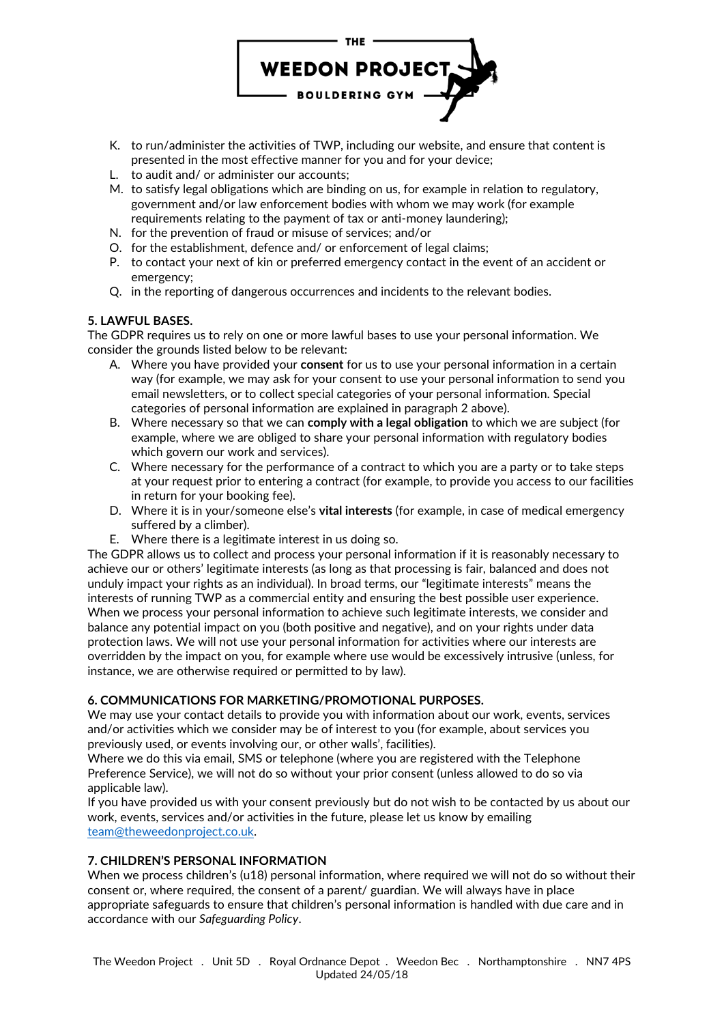

- K. to run/administer the activities of TWP, including our website, and ensure that content is presented in the most effective manner for you and for your device;
- L. to audit and/ or administer our accounts;
- M. to satisfy legal obligations which are binding on us, for example in relation to regulatory, government and/or law enforcement bodies with whom we may work (for example requirements relating to the payment of tax or anti-money laundering);
- N. for the prevention of fraud or misuse of services; and/or
- O. for the establishment, defence and/ or enforcement of legal claims;
- P. to contact your next of kin or preferred emergency contact in the event of an accident or emergency;
- Q. in the reporting of dangerous occurrences and incidents to the relevant bodies.

## **5. LAWFUL BASES.**

The GDPR requires us to rely on one or more lawful bases to use your personal information. We consider the grounds listed below to be relevant:

- A. Where you have provided your **consent** for us to use your personal information in a certain way (for example, we may ask for your consent to use your personal information to send you email newsletters, or to collect special categories of your personal information. Special categories of personal information are explained in paragraph 2 above).
- B. Where necessary so that we can **comply with a legal obligation** to which we are subject (for example, where we are obliged to share your personal information with regulatory bodies which govern our work and services).
- C. Where necessary for the performance of a contract to which you are a party or to take steps at your request prior to entering a contract (for example, to provide you access to our facilities in return for your booking fee).
- D. Where it is in your/someone else's **vital interests** (for example, in case of medical emergency suffered by a climber).
- E. Where there is a legitimate interest in us doing so.

The GDPR allows us to collect and process your personal information if it is reasonably necessary to achieve our or others' legitimate interests (as long as that processing is fair, balanced and does not unduly impact your rights as an individual). In broad terms, our "legitimate interests" means the interests of running TWP as a commercial entity and ensuring the best possible user experience. When we process your personal information to achieve such legitimate interests, we consider and balance any potential impact on you (both positive and negative), and on your rights under data protection laws. We will not use your personal information for activities where our interests are overridden by the impact on you, for example where use would be excessively intrusive (unless, for instance, we are otherwise required or permitted to by law).

# **6. COMMUNICATIONS FOR MARKETING/PROMOTIONAL PURPOSES.**

We may use your contact details to provide you with information about our work, events, services and/or activities which we consider may be of interest to you (for example, about services you previously used, or events involving our, or other walls', facilities).

Where we do this via email, SMS or telephone (where you are registered with the Telephone Preference Service), we will not do so without your prior consent (unless allowed to do so via applicable law).

If you have provided us with your consent previously but do not wish to be contacted by us about our work, events, services and/or activities in the future, please let us know by emailing [team@theweedonproject.co.uk.](mailto:team@theweedonproject.co.uk)

# **7. CHILDREN'S PERSONAL INFORMATION**

When we process children's (u18) personal information, where required we will not do so without their consent or, where required, the consent of a parent/ guardian. We will always have in place appropriate safeguards to ensure that children's personal information is handled with due care and in accordance with our *Safeguarding Policy*.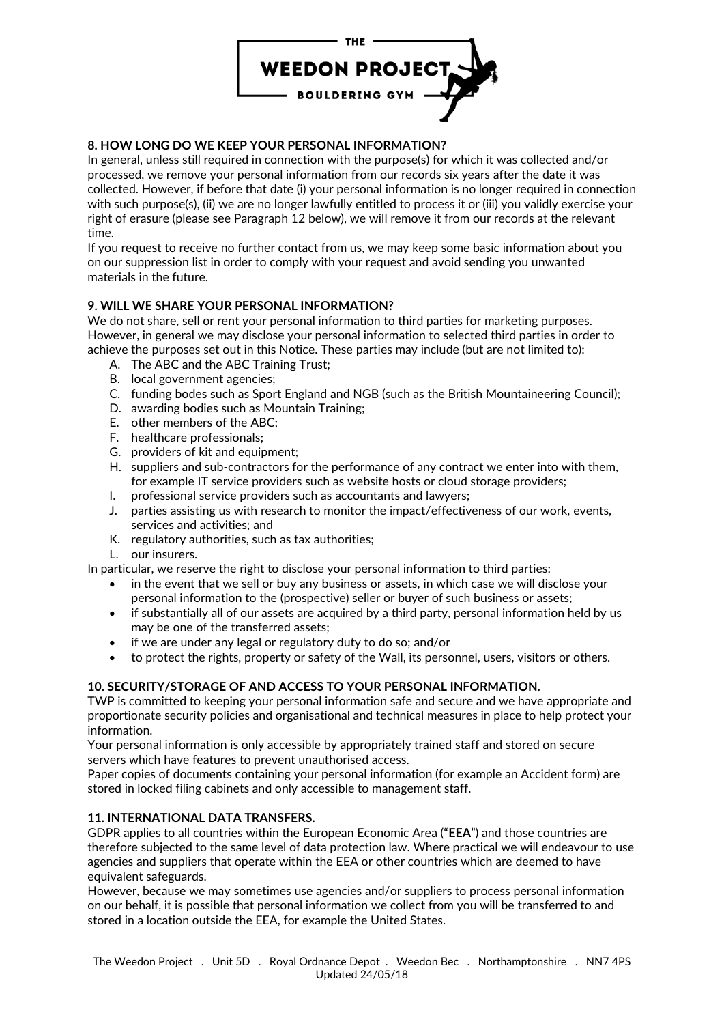

# **8. HOW LONG DO WE KEEP YOUR PERSONAL INFORMATION?**

In general, unless still required in connection with the purpose(s) for which it was collected and/or processed, we remove your personal information from our records six years after the date it was collected. However, if before that date (i) your personal information is no longer required in connection with such purpose(s), (ii) we are no longer lawfully entitled to process it or (iii) you validly exercise your right of erasure (please see Paragraph 12 below), we will remove it from our records at the relevant time.

If you request to receive no further contact from us, we may keep some basic information about you on our suppression list in order to comply with your request and avoid sending you unwanted materials in the future.

# **9. WILL WE SHARE YOUR PERSONAL INFORMATION?**

We do not share, sell or rent your personal information to third parties for marketing purposes. However, in general we may disclose your personal information to selected third parties in order to achieve the purposes set out in this Notice. These parties may include (but are not limited to):

- A. The ABC and the ABC Training Trust;
- B. local government agencies;
- C. funding bodes such as Sport England and NGB (such as the British Mountaineering Council);
- D. awarding bodies such as Mountain Training;
- E. other members of the ABC;
- F. healthcare professionals;
- G. providers of kit and equipment;
- H. suppliers and sub-contractors for the performance of any contract we enter into with them, for example IT service providers such as website hosts or cloud storage providers;
- I. professional service providers such as accountants and lawyers;
- J. parties assisting us with research to monitor the impact/effectiveness of our work, events, services and activities; and
- K. regulatory authorities, such as tax authorities;
- L. our insurers.

In particular, we reserve the right to disclose your personal information to third parties:

- in the event that we sell or buy any business or assets, in which case we will disclose your personal information to the (prospective) seller or buyer of such business or assets;
- if substantially all of our assets are acquired by a third party, personal information held by us may be one of the transferred assets;
- if we are under any legal or regulatory duty to do so; and/or
- to protect the rights, property or safety of the Wall, its personnel, users, visitors or others.

# **10. SECURITY/STORAGE OF AND ACCESS TO YOUR PERSONAL INFORMATION.**

TWP is committed to keeping your personal information safe and secure and we have appropriate and proportionate security policies and organisational and technical measures in place to help protect your information.

Your personal information is only accessible by appropriately trained staff and stored on secure servers which have features to prevent unauthorised access.

Paper copies of documents containing your personal information (for example an Accident form) are stored in locked filing cabinets and only accessible to management staff.

## **11. INTERNATIONAL DATA TRANSFERS.**

GDPR applies to all countries within the European Economic Area ("**EEA**") and those countries are therefore subjected to the same level of data protection law. Where practical we will endeavour to use agencies and suppliers that operate within the EEA or other countries which are deemed to have equivalent safeguards.

However, because we may sometimes use agencies and/or suppliers to process personal information on our behalf, it is possible that personal information we collect from you will be transferred to and stored in a location outside the EEA, for example the United States.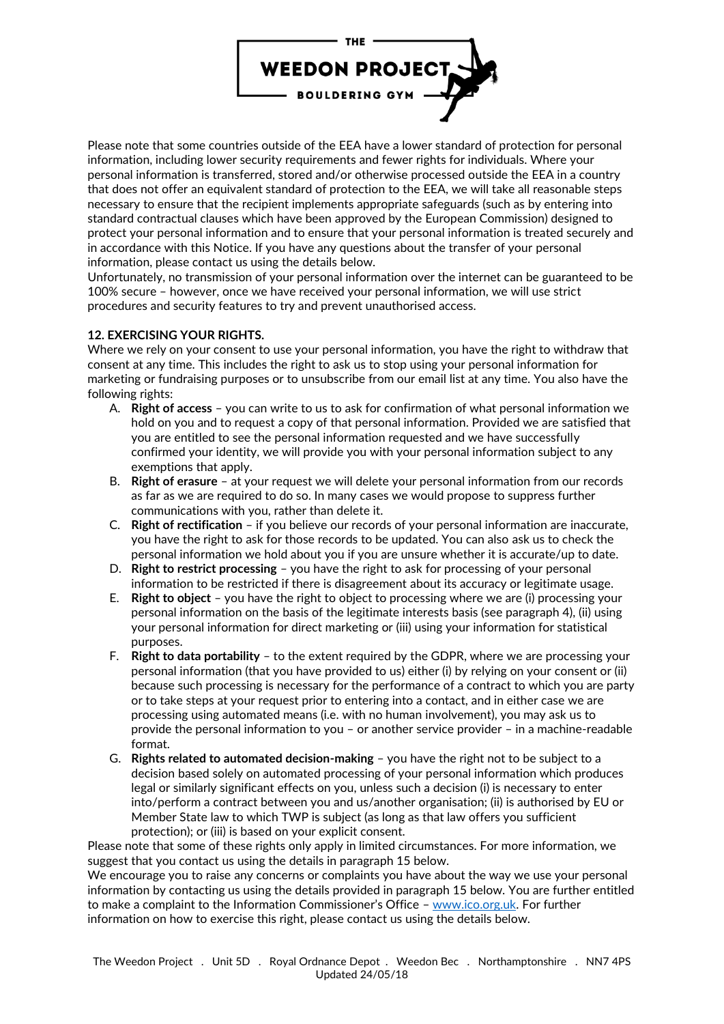

Please note that some countries outside of the EEA have a lower standard of protection for personal information, including lower security requirements and fewer rights for individuals. Where your personal information is transferred, stored and/or otherwise processed outside the EEA in a country that does not offer an equivalent standard of protection to the EEA, we will take all reasonable steps necessary to ensure that the recipient implements appropriate safeguards (such as by entering into standard contractual clauses which have been approved by the European Commission) designed to protect your personal information and to ensure that your personal information is treated securely and in accordance with this Notice. If you have any questions about the transfer of your personal information, please contact us using the details below.

Unfortunately, no transmission of your personal information over the internet can be guaranteed to be 100% secure – however, once we have received your personal information, we will use strict procedures and security features to try and prevent unauthorised access.

## **12. EXERCISING YOUR RIGHTS.**

Where we rely on your consent to use your personal information, you have the right to withdraw that consent at any time. This includes the right to ask us to stop using your personal information for marketing or fundraising purposes or to unsubscribe from our email list at any time. You also have the following rights:

- A. **Right of access** you can write to us to ask for confirmation of what personal information we hold on you and to request a copy of that personal information. Provided we are satisfied that you are entitled to see the personal information requested and we have successfully confirmed your identity, we will provide you with your personal information subject to any exemptions that apply.
- B. **Right of erasure** at your request we will delete your personal information from our records as far as we are required to do so. In many cases we would propose to suppress further communications with you, rather than delete it.
- C. **Right of rectification** if you believe our records of your personal information are inaccurate, you have the right to ask for those records to be updated. You can also ask us to check the personal information we hold about you if you are unsure whether it is accurate/up to date.
- D. **Right to restrict processing** you have the right to ask for processing of your personal information to be restricted if there is disagreement about its accuracy or legitimate usage.
- E. **Right to object** you have the right to object to processing where we are (i) processing your personal information on the basis of the legitimate interests basis (see paragraph 4), (ii) using your personal information for direct marketing or (iii) using your information for statistical purposes.
- F. **Right to data portability** to the extent required by the GDPR, where we are processing your personal information (that you have provided to us) either (i) by relying on your consent or (ii) because such processing is necessary for the performance of a contract to which you are party or to take steps at your request prior to entering into a contact, and in either case we are processing using automated means (i.e. with no human involvement), you may ask us to provide the personal information to you – or another service provider – in a machine-readable format.
- G. **Rights related to automated decision-making** you have the right not to be subject to a decision based solely on automated processing of your personal information which produces legal or similarly significant effects on you, unless such a decision (i) is necessary to enter into/perform a contract between you and us/another organisation; (ii) is authorised by EU or Member State law to which TWP is subject (as long as that law offers you sufficient protection); or (iii) is based on your explicit consent.

Please note that some of these rights only apply in limited circumstances. For more information, we suggest that you contact us using the details in paragraph 15 below.

We encourage you to raise any concerns or complaints you have about the way we use your personal information by contacting us using the details provided in paragraph 15 below. You are further entitled to make a complaint to the Information Commissioner's Office - [www.ico.org.uk.](http://www.ico.org.uk/) For further information on how to exercise this right, please contact us using the details below.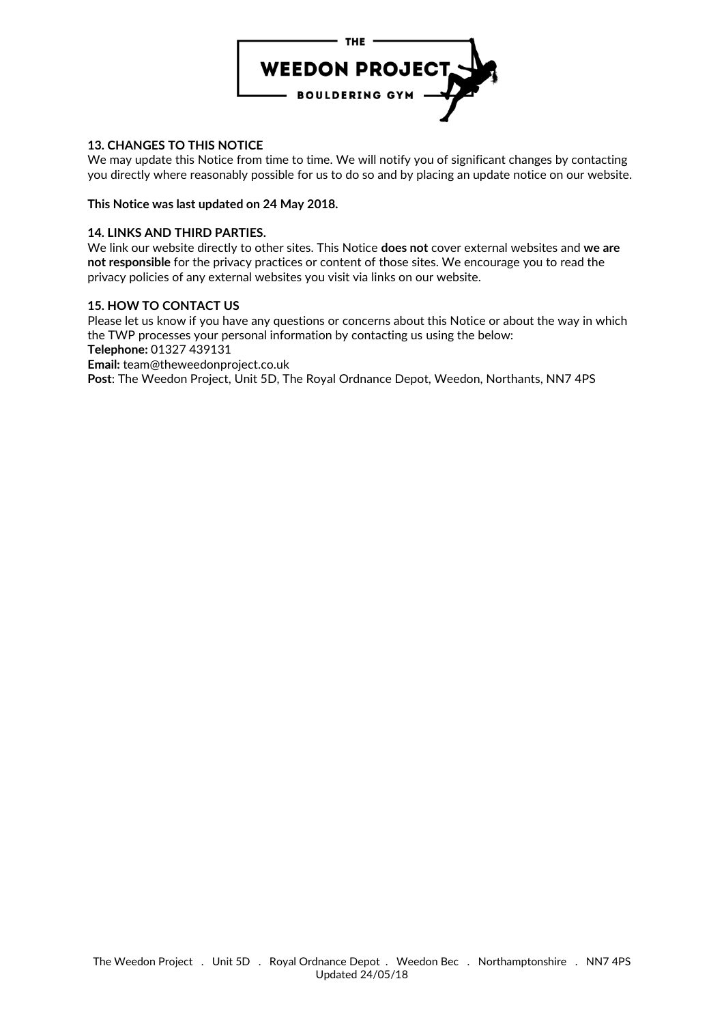

## **13. CHANGES TO THIS NOTICE**

We may update this Notice from time to time. We will notify you of significant changes by contacting you directly where reasonably possible for us to do so and by placing an update notice on our website.

#### **This Notice was last updated on 24 May 2018.**

#### **14. LINKS AND THIRD PARTIES.**

We link our website directly to other sites. This Notice **does not** cover external websites and **we are not responsible** for the privacy practices or content of those sites. We encourage you to read the privacy policies of any external websites you visit via links on our website.

#### **15. HOW TO CONTACT US**

Please let us know if you have any questions or concerns about this Notice or about the way in which the TWP processes your personal information by contacting us using the below: **Telephone:** 01327 439131

**Email:** team@theweedonproject.co.uk

**Post**: The Weedon Project, Unit 5D, The Royal Ordnance Depot, Weedon, Northants, NN7 4PS